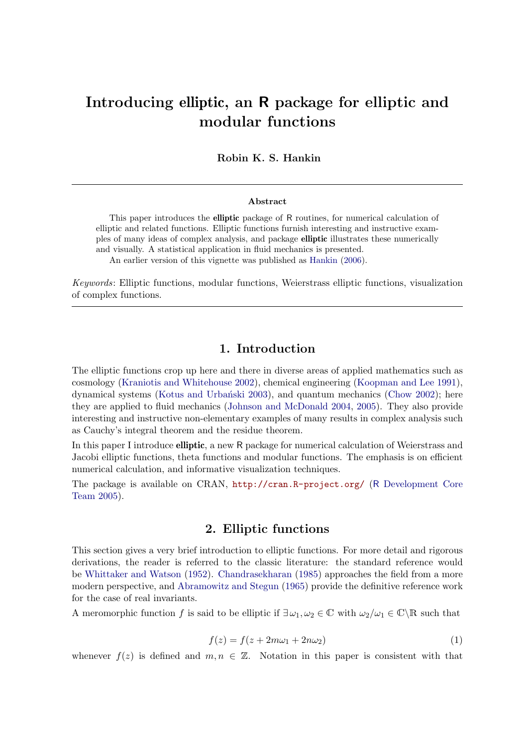# Introducing elliptic, an R package for elliptic and modular functions

Robin K. S. Hankin

#### Abstract

This paper introduces the elliptic package of R routines, for numerical calculation of elliptic and related functions. Elliptic functions furnish interesting and instructive examples of many ideas of complex analysis, and package elliptic illustrates these numerically and visually. A statistical application in fluid mechanics is presented.

An earlier version of this vignette was published as [Hankin](#page-22-0) [\(2006\)](#page-22-0).

*Keywords*: Elliptic functions, modular functions, Weierstrass elliptic functions, visualization of complex functions.

## 1. Introduction

The elliptic functions crop up here and there in diverse areas of applied mathematics such as cosmology [\(Kraniotis and Whitehouse 2002\)](#page-22-1), chemical engineering [\(Koopman and Lee 1991\)](#page-22-2), dynamical systems (Kotus and Urbański 2003), and quantum mechanics [\(Chow 2002\)](#page-22-4); here they are applied to fluid mechanics [\(Johnson and McDonald 2004,](#page-22-5) [2005\)](#page-22-6). They also provide interesting and instructive non-elementary examples of many results in complex analysis such as Cauchy's integral theorem and the residue theorem.

In this paper I introduce **elliptic**, a new R package for numerical calculation of Weierstrass and Jacobi elliptic functions, theta functions and modular functions. The emphasis is on efficient numerical calculation, and informative visualization techniques.

The package is available on CRAN, <http://cran.R-project.org/> (R [Development Core](#page-22-7) [Team 2005\)](#page-22-7).

## 2. Elliptic functions

<span id="page-0-0"></span>This section gives a very brief introduction to elliptic functions. For more detail and rigorous derivations, the reader is referred to the classic literature: the standard reference would be [Whittaker and Watson](#page-22-8) [\(1952\)](#page-22-8). [Chandrasekharan](#page-21-0) [\(1985\)](#page-21-0) approaches the field from a more modern perspective, and [Abramowitz and Stegun](#page-21-1) [\(1965\)](#page-21-1) provide the definitive reference work for the case of real invariants.

A meromorphic function f is said to be elliptic if  $\exists \omega_1, \omega_2 \in \mathbb{C}$  with  $\omega_2/\omega_1 \in \mathbb{C} \backslash \mathbb{R}$  such that

$$
f(z) = f(z + 2m\omega_1 + 2n\omega_2)
$$
 (1)

whenever  $f(z)$  is defined and  $m, n \in \mathbb{Z}$ . Notation in this paper is consistent with that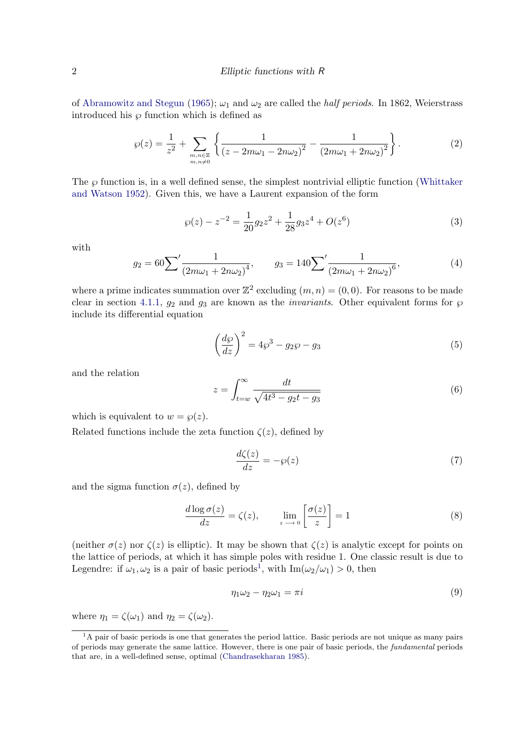#### 2 Elliptic functions with R

of [Abramowitz and Stegun](#page-21-1) [\(1965\)](#page-21-1);  $\omega_1$  and  $\omega_2$  are called the *half periods*. In 1862, Weierstrass introduced his  $\wp$  function which is defined as

<span id="page-1-1"></span>
$$
\wp(z) = \frac{1}{z^2} + \sum_{\substack{m,n \in \mathbb{Z} \\ m,n \neq 0}} \left\{ \frac{1}{(z - 2m\omega_1 - 2n\omega_2)^2} - \frac{1}{(2m\omega_1 + 2n\omega_2)^2} \right\}.
$$
 (2)

The  $\wp$  function is, in a well defined sense, the simplest nontrivial elliptic function [\(Whittaker](#page-22-8) [and Watson 1952\)](#page-22-8). Given this, we have a Laurent expansion of the form

$$
\wp(z) - z^{-2} = \frac{1}{20} g_2 z^2 + \frac{1}{28} g_3 z^4 + O(z^6)
$$
\n(3)

with

$$
g_2 = 60 \sum^{\prime} \frac{1}{\left(2m\omega_1 + 2n\omega_2\right)^4}, \qquad g_3 = 140 \sum^{\prime} \frac{1}{\left(2m\omega_1 + 2n\omega_2\right)^6},\tag{4}
$$

where a prime indicates summation over  $\mathbb{Z}^2$  excluding  $(m, n) = (0, 0)$ . For reasons to be made clear in section [4.1.1,](#page-4-0)  $g_2$  and  $g_3$  are known as the *invariants*. Other equivalent forms for  $\wp$ include its differential equation

$$
\left(\frac{d\wp}{dz}\right)^2 = 4\wp^3 - g_2\wp - g_3\tag{5}
$$

and the relation

$$
z = \int_{t=w}^{\infty} \frac{dt}{\sqrt{4t^3 - g_2t - g_3}}
$$
(6)

which is equivalent to  $w = \wp(z)$ .

Related functions include the zeta function  $\zeta(z)$ , defined by

<span id="page-1-3"></span>
$$
\frac{d\zeta(z)}{dz} = -\wp(z) \tag{7}
$$

and the sigma function  $\sigma(z)$ , defined by

<span id="page-1-2"></span>
$$
\frac{d \log \sigma(z)}{dz} = \zeta(z), \qquad \lim_{z \to 0} \left[ \frac{\sigma(z)}{z} \right] = 1 \tag{8}
$$

(neither  $\sigma(z)$  nor  $\zeta(z)$  is elliptic). It may be shown that  $\zeta(z)$  is analytic except for points on the lattice of periods, at which it has simple poles with residue 1. One classic result is due to Legendre: if  $\omega_1, \omega_2$  $\omega_1, \omega_2$  $\omega_1, \omega_2$  is a pair of basic periods<sup>1</sup>, with  $\text{Im}(\omega_2/\omega_1) > 0$ , then

$$
\eta_1 \omega_2 - \eta_2 \omega_1 = \pi i \tag{9}
$$

where  $\eta_1 = \zeta(\omega_1)$  and  $\eta_2 = \zeta(\omega_2)$ .

<span id="page-1-0"></span><sup>&</sup>lt;sup>1</sup>A pair of basic periods is one that generates the period lattice. Basic periods are not unique as many pairs of periods may generate the same lattice. However, there is one pair of basic periods, the fundamental periods that are, in a well-defined sense, optimal [\(Chandrasekharan 1985\)](#page-21-0).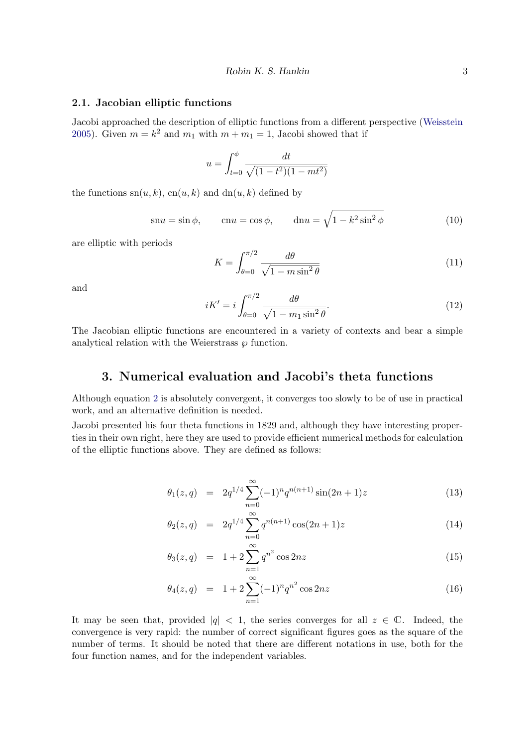#### 2.1. Jacobian elliptic functions

Jacobi approached the description of elliptic functions from a different perspective [\(Weisstein](#page-22-9) [2005\)](#page-22-9). Given  $m = k^2$  and  $m_1$  with  $m + m_1 = 1$ , Jacobi showed that if

$$
u = \int_{t=0}^{\phi} \frac{dt}{\sqrt{(1 - t^2)(1 - mt^2)}}
$$

the functions  $\mathrm{sn}(u, k)$ ,  $\mathrm{cn}(u, k)$  and  $\mathrm{dn}(u, k)$  defined by

<span id="page-2-0"></span>
$$
\operatorname{sn} u = \sin \phi, \qquad \operatorname{cn} u = \cos \phi, \qquad \operatorname{dn} u = \sqrt{1 - k^2 \sin^2 \phi} \tag{10}
$$

are elliptic with periods

$$
K = \int_{\theta=0}^{\pi/2} \frac{d\theta}{\sqrt{1 - m \sin^2 \theta}}
$$
(11)

and

$$
iK' = i \int_{\theta=0}^{\pi/2} \frac{d\theta}{\sqrt{1 - m_1 \sin^2 \theta}}.
$$
\n(12)

The Jacobian elliptic functions are encountered in a variety of contexts and bear a simple analytical relation with the Weierstrass  $\wp$  function.

## 3. Numerical evaluation and Jacobi's theta functions

Although equation [2](#page-1-1) is absolutely convergent, it converges too slowly to be of use in practical work, and an alternative definition is needed.

Jacobi presented his four theta functions in 1829 and, although they have interesting properties in their own right, here they are used to provide efficient numerical methods for calculation of the elliptic functions above. They are defined as follows:

$$
\theta_1(z,q) = 2q^{1/4} \sum_{n=0}^{\infty} (-1)^n q^{n(n+1)} \sin(2n+1)z \tag{13}
$$

$$
\theta_2(z,q) = 2q^{1/4} \sum_{n=0}^{\infty} q^{n(n+1)} \cos(2n+1)z \tag{14}
$$

$$
\theta_3(z,q) = 1 + 2 \sum_{n=1}^{\infty} q^{n^2} \cos 2nz \tag{15}
$$

$$
\theta_4(z,q) = 1 + 2 \sum_{n=1}^{\infty} (-1)^n q^{n^2} \cos 2nz \tag{16}
$$

It may be seen that, provided  $|q| < 1$ , the series converges for all  $z \in \mathbb{C}$ . Indeed, the convergence is very rapid: the number of correct significant figures goes as the square of the number of terms. It should be noted that there are different notations in use, both for the four function names, and for the independent variables.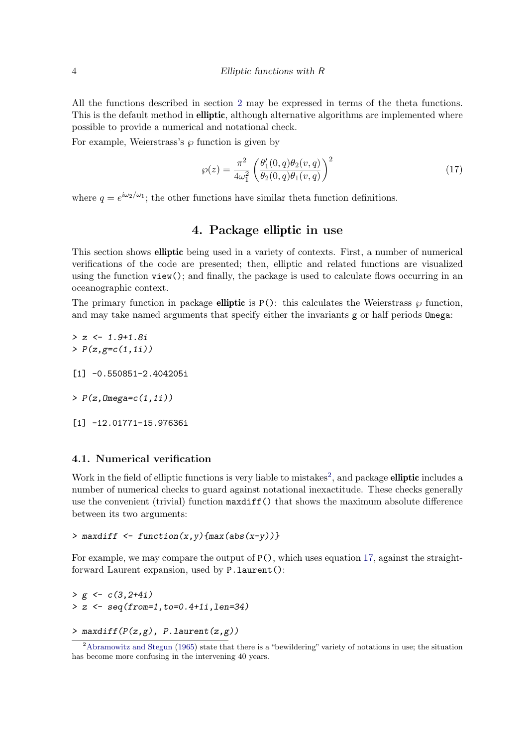All the functions described in section [2](#page-0-0) may be expressed in terms of the theta functions. This is the default method in **elliptic**, although alternative algorithms are implemented where possible to provide a numerical and notational check.

For example, Weierstrass's  $\varphi$  function is given by

<span id="page-3-1"></span>
$$
\wp(z) = \frac{\pi^2}{4\omega_1^2} \left( \frac{\theta_1'(0, q)\theta_2(v, q)}{\theta_2(0, q)\theta_1(v, q)} \right)^2 \tag{17}
$$

where  $q = e^{i\omega_2/\omega_1}$ ; the other functions have similar theta function definitions.

## 4. Package elliptic in use

This section shows elliptic being used in a variety of contexts. First, a number of numerical verifications of the code are presented; then, elliptic and related functions are visualized using the function  $view()$ ; and finally, the package is used to calculate flows occurring in an oceanographic context.

The primary function in package elliptic is  $P()$ : this calculates the Weierstrass  $\wp$  function, and may take named arguments that specify either the invariants g or half periods Omega:

```
> z \leftarrow 1.9 + 1.8i> P(z, g=c(1, 1i))[1] -0.550851-2.404205i
\geq P(z,0mega=c(1,1i))
```
[1] -12.01771-15.97636i

#### 4.1. Numerical verification

Work in the field of elliptic functions is very liable to mistakes<sup>[2](#page-3-0)</sup>, and package elliptic includes a number of numerical checks to guard against notational inexactitude. These checks generally use the convenient (trivial) function maxdiff() that shows the maximum absolute difference between its two arguments:

$$
> \text{maxdiff} \leftarrow function(x, y) \{ \text{max}(\text{abs}(x-y)) \}
$$

For example, we may compare the output of  $P($ ), which uses equation [17,](#page-3-1) against the straightforward Laurent expansion, used by P.laurent():

 $> g \leftarrow c(3, 2+4i)$  $> z$  <- seq(from=1,to=0.4+1i,len=34)

>  $maxdiff(P(z,g), P.$ laurent $(z,g)$ )

<span id="page-3-0"></span><sup>2</sup>[Abramowitz and Stegun](#page-21-1) [\(1965\)](#page-21-1) state that there is a "bewildering" variety of notations in use; the situation has become more confusing in the intervening 40 years.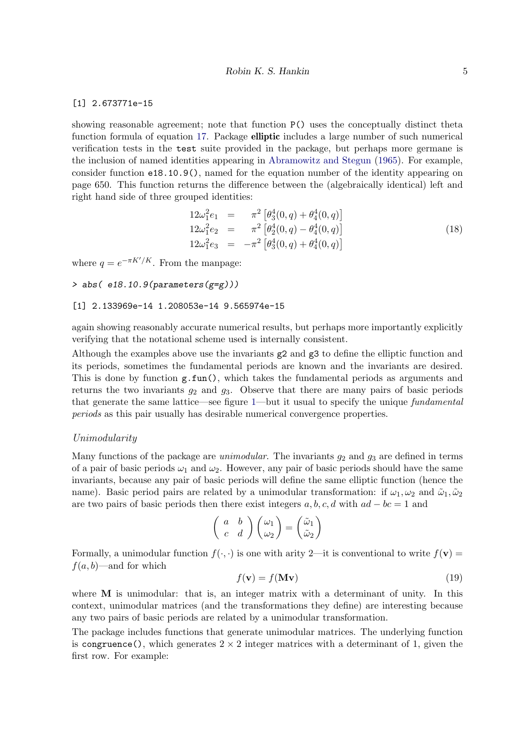#### [1] 2.673771e-15

showing reasonable agreement; note that function P() uses the conceptually distinct theta function formula of equation [17.](#page-3-1) Package **elliptic** includes a large number of such numerical verification tests in the test suite provided in the package, but perhaps more germane is the inclusion of named identities appearing in [Abramowitz and Stegun](#page-21-1) [\(1965\)](#page-21-1). For example, consider function e18.10.9(), named for the equation number of the identity appearing on page 650. This function returns the difference between the (algebraically identical) left and right hand side of three grouped identities:

$$
12\omega_1^2 e_1 = \pi^2 \left[ \theta_3^4(0, q) + \theta_4^4(0, q) \right]
$$
  
\n
$$
12\omega_1^2 e_2 = \pi^2 \left[ \theta_2^4(0, q) - \theta_4^4(0, q) \right]
$$
  
\n
$$
12\omega_1^2 e_3 = -\pi^2 \left[ \theta_3^4(0, q) + \theta_4^4(0, q) \right]
$$
\n(18)

where  $q = e^{-\pi K'/K}$ . From the manpage:

```
> abs(e18.10.9(parameters(g=g)))
```
#### [1] 2.133969e-14 1.208053e-14 9.565974e-15

again showing reasonably accurate numerical results, but perhaps more importantly explicitly verifying that the notational scheme used is internally consistent.

Although the examples above use the invariants g2 and g3 to define the elliptic function and its periods, sometimes the fundamental periods are known and the invariants are desired. This is done by function g.fun(), which takes the fundamental periods as arguments and returns the two invariants  $g_2$  and  $g_3$ . Observe that there are many pairs of basic periods that generate the same lattice—see figure [1—](#page-5-0)but it usual to specify the unique *fundamental periods* as this pair usually has desirable numerical convergence properties.

#### <span id="page-4-0"></span>Unimodularity

Many functions of the package are *unimodular*. The invariants  $g_2$  and  $g_3$  are defined in terms of a pair of basic periods  $\omega_1$  and  $\omega_2$ . However, any pair of basic periods should have the same invariants, because any pair of basic periods will define the same elliptic function (hence the name). Basic period pairs are related by a unimodular transformation: if  $\omega_1, \omega_2$  and  $\tilde{\omega}_1, \tilde{\omega}_2$ are two pairs of basic periods then there exist integers  $a, b, c, d$  with  $ad - bc = 1$  and

$$
\left(\begin{array}{cc} a & b \\ c & d \end{array}\right)\left(\begin{array}{c} \omega_1 \\ \omega_2 \end{array}\right)=\left(\begin{array}{c} \tilde{\omega}_1 \\ \tilde{\omega}_2 \end{array}\right)
$$

Formally, a unimodular function  $f(\cdot, \cdot)$  is one with arity 2—it is conventional to write  $f(\mathbf{v}) =$  $f(a, b)$ —and for which

$$
f(\mathbf{v}) = f(\mathbf{M}\mathbf{v})\tag{19}
$$

where M is unimodular: that is, an integer matrix with a determinant of unity. In this context, unimodular matrices (and the transformations they define) are interesting because any two pairs of basic periods are related by a unimodular transformation.

The package includes functions that generate unimodular matrices. The underlying function is congruence(), which generates  $2 \times 2$  integer matrices with a determinant of 1, given the first row. For example: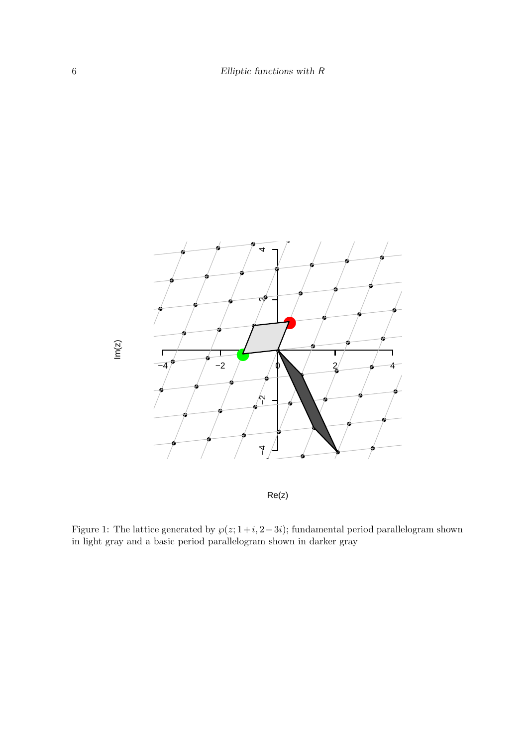

Re(z)

<span id="page-5-0"></span>Figure 1: The lattice generated by  $\wp(z; 1+i, 2-3i)$ ; fundamental period parallelogram shown in light gray and a basic period parallelogram shown in darker gray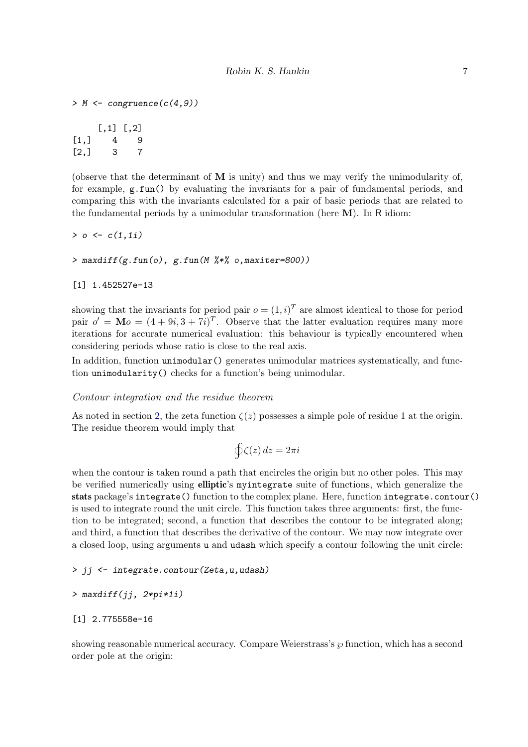$> M \leftarrow congruence(c(4,9))$  $[,1]$   $[,2]$  $[1,] 4 9$ [2,] 3 7

(observe that the determinant of  $M$  is unity) and thus we may verify the unimodularity of, for example, g.fun() by evaluating the invariants for a pair of fundamental periods, and comparing this with the invariants calculated for a pair of basic periods that are related to the fundamental periods by a unimodular transformation (here  $M$ ). In R idiom:

 $> 0 \leq c(1, 1i)$ 

> maxdiff(g.fun(o), g.fun(M %\*% o,maxiter=800))

[1] 1.452527e-13

showing that the invariants for period pair  $o = (1, i)^T$  are almost identical to those for period pair  $o' = \mathbf{M}o = (4 + 9i, 3 + 7i)^T$ . Observe that the latter evaluation requires many more iterations for accurate numerical evaluation: this behaviour is typically encountered when considering periods whose ratio is close to the real axis.

In addition, function unimodular() generates unimodular matrices systematically, and function unimodularity() checks for a function's being unimodular.

#### Contour integration and the residue theorem

As noted in section [2,](#page-1-2) the zeta function  $\zeta(z)$  possesses a simple pole of residue 1 at the origin. The residue theorem would imply that

$$
\oint \zeta(z) \, dz = 2\pi i
$$

when the contour is taken round a path that encircles the origin but no other poles. This may be verified numerically using **elliptic**'s myintegrate suite of functions, which generalize the stats package's integrate() function to the complex plane. Here, function integrate.contour() is used to integrate round the unit circle. This function takes three arguments: first, the function to be integrated; second, a function that describes the contour to be integrated along; and third, a function that describes the derivative of the contour. We may now integrate over a closed loop, using arguments u and udash which specify a contour following the unit circle:

> jj <- integrate.contour(Zeta,u,udash)

```
> maxdiff(jj, 2*pi*1i)
```

$$
[1] \ \ 2.775558e-16
$$

showing reasonable numerical accuracy. Compare Weierstrass's  $\wp$  function, which has a second order pole at the origin: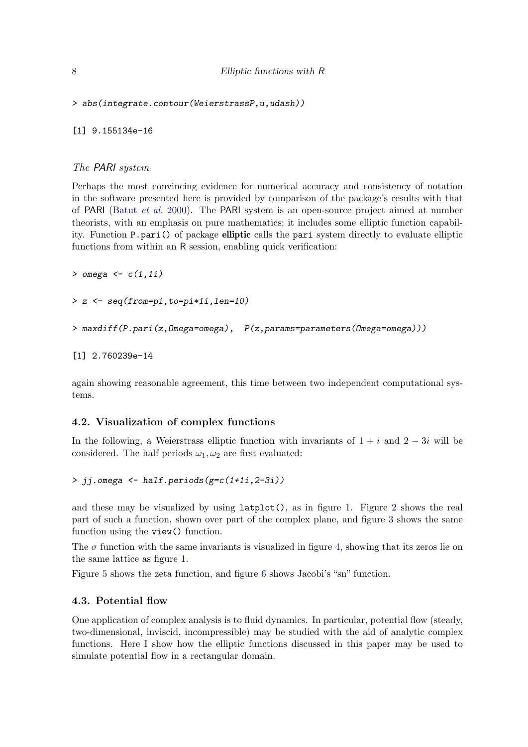```
> abs(integrate.contour(WeierstrassP,u,udash))
```
[1] 9.155134e-16

### The PARI system

Perhaps the most convincing evidence for numerical accuracy and consistency of notation in the software presented here is provided by comparison of the package's results with that of PARI [\(Batut](#page-21-2) *et al.* [2000\)](#page-21-2). The PARI system is an open-source project aimed at number theorists, with an emphasis on pure mathematics; it includes some elliptic function capability. Function P.pari() of package elliptic calls the pari system directly to evaluate elliptic functions from within an R session, enabling quick verification:

```
> omega \leq c(1,1i)
```

```
> z <- seq(from=pi,to=pi*1i,len=10)
```

```
> maxdiff(P.pari(z,Omega=omega), P(z,params=parameters(Omega=omega)))
```

```
[1] 2.760239e-14
```
again showing reasonable agreement, this time between two independent computational systems.

### 4.2. Visualization of complex functions

In the following, a Weierstrass elliptic function with invariants of  $1 + i$  and  $2 - 3i$  will be considered. The half periods  $\omega_1, \omega_2$  are first evaluated:

> jj.omega <- half.periods(g=c(1+1i,2-3i))

and these may be visualized by using  $l$  at plot(), as in figure [1.](#page-5-0) Figure [2](#page-8-0) shows the real part of such a function, shown over part of the complex plane, and figure [3](#page-9-0) shows the same function using the view() function.

The  $\sigma$  function with the same invariants is visualized in figure [4,](#page-10-0) showing that its zeros lie on the same lattice as figure [1.](#page-5-0)

Figure [5](#page-11-0) shows the zeta function, and figure [6](#page-12-0) shows Jacobi's "sn" function.

### 4.3. Potential flow

One application of complex analysis is to fluid dynamics. In particular, potential flow (steady, two-dimensional, inviscid, incompressible) may be studied with the aid of analytic complex functions. Here I show how the elliptic functions discussed in this paper may be used to simulate potential flow in a rectangular domain.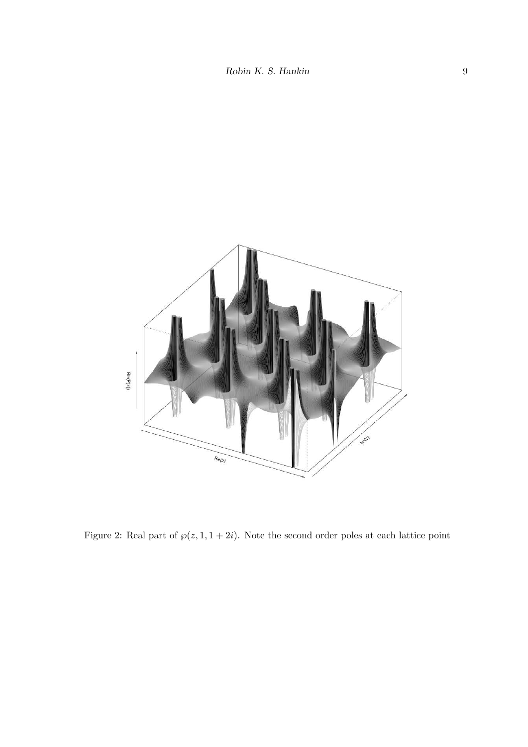

<span id="page-8-0"></span>Figure 2: Real part of  $\wp(z, 1, 1 + 2i)$ . Note the second order poles at each lattice point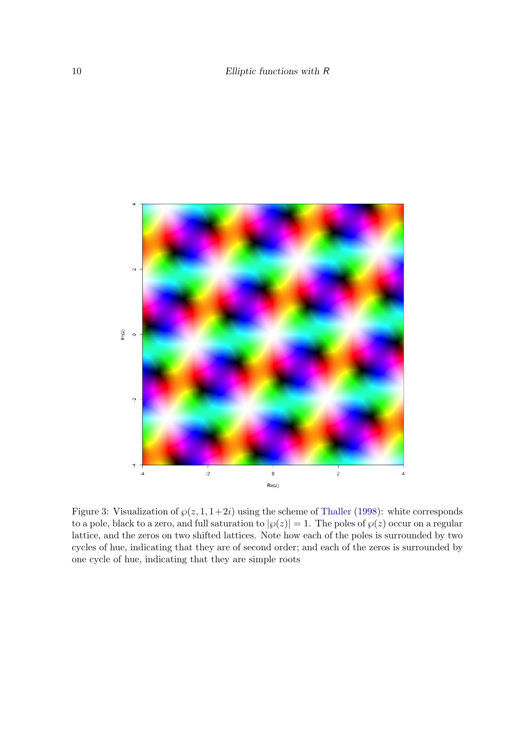

<span id="page-9-0"></span>Figure 3: Visualization of  $\wp(z, 1, 1+2i)$  using the scheme of [Thaller](#page-22-10) [\(1998\)](#page-22-10): white corresponds to a pole, black to a zero, and full saturation to  $|\wp(z)| = 1$ . The poles of  $\wp(z)$  occur on a regular lattice, and the zeros on two shifted lattices. Note how each of the poles is surrounded by two cycles of hue, indicating that they are of second order; and each of the zeros is surrounded by one cycle of hue, indicating that they are simple roots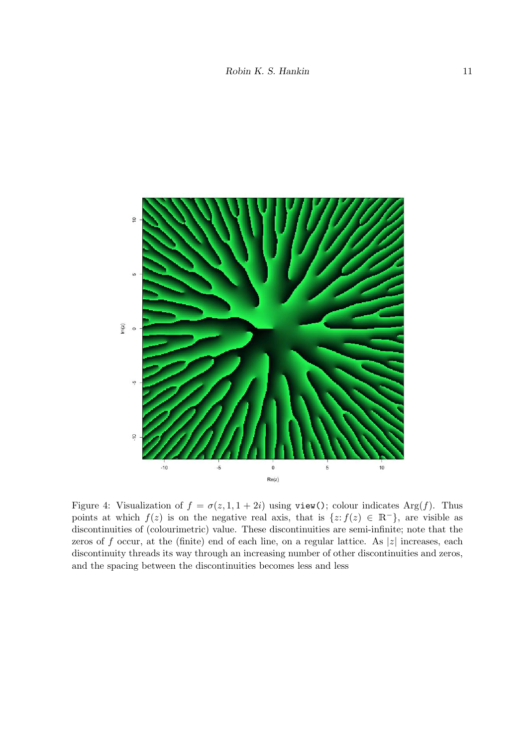

<span id="page-10-0"></span>Figure 4: Visualization of  $f = \sigma(z, 1, 1 + 2i)$  using view(); colour indicates Arg(f). Thus points at which  $f(z)$  is on the negative real axis, that is  $\{z: f(z) \in \mathbb{R}^-\}$ , are visible as discontinuities of (colourimetric) value. These discontinuities are semi-infinite; note that the zeros of f occur, at the (finite) end of each line, on a regular lattice. As  $|z|$  increases, each discontinuity threads its way through an increasing number of other discontinuities and zeros, and the spacing between the discontinuities becomes less and less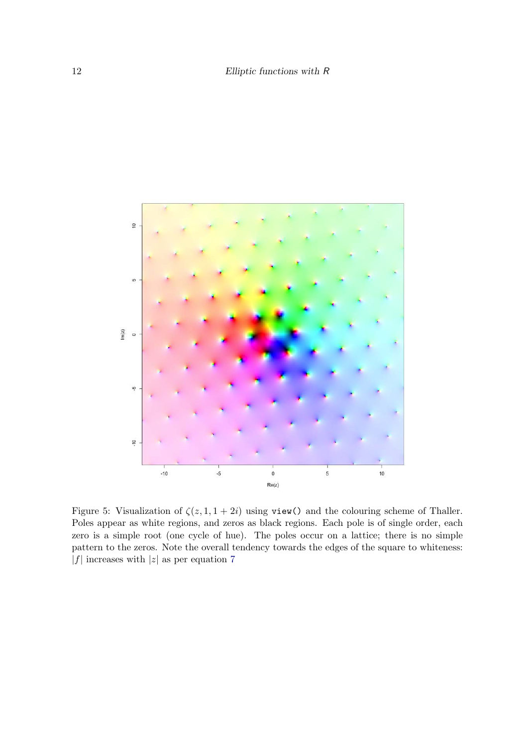

<span id="page-11-0"></span>Figure 5: Visualization of  $\zeta(z, 1, 1 + 2i)$  using view() and the colouring scheme of Thaller. Poles appear as white regions, and zeros as black regions. Each pole is of single order, each zero is a simple root (one cycle of hue). The poles occur on a lattice; there is no simple pattern to the zeros. Note the overall tendency towards the edges of the square to whiteness: |f| increases with |z| as per equation [7](#page-1-3)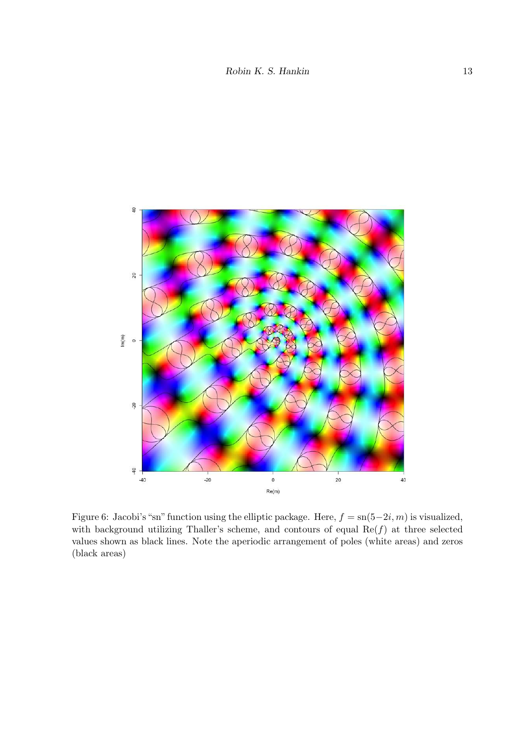

<span id="page-12-0"></span>Figure 6: Jacobi's "sn" function using the elliptic package. Here,  $f = \text{sn}(5-2i, m)$  is visualized, with background utilizing Thaller's scheme, and contours of equal  $\text{Re}(f)$  at three selected values shown as black lines. Note the aperiodic arrangement of poles (white areas) and zeros (black areas)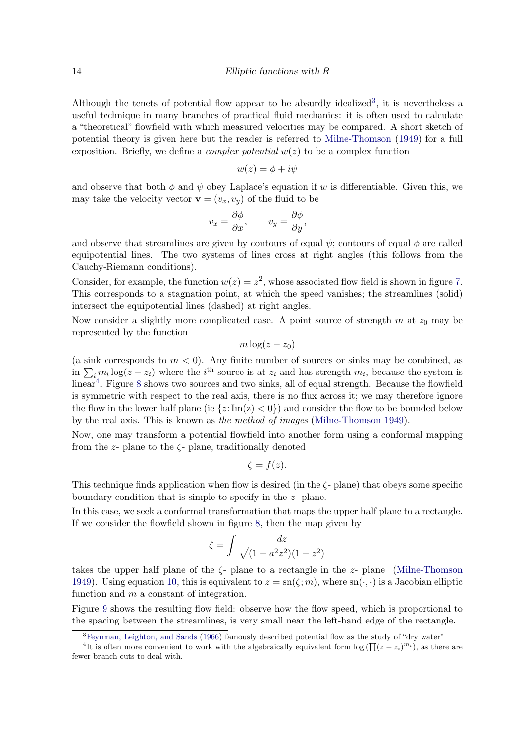Although the tenets of potential flow appear to be absurdly idealized<sup>[3](#page-13-0)</sup>, it is nevertheless a useful technique in many branches of practical fluid mechanics: it is often used to calculate a "theoretical" flowfield with which measured velocities may be compared. A short sketch of potential theory is given here but the reader is referred to [Milne-Thomson](#page-22-11) [\(1949\)](#page-22-11) for a full exposition. Briefly, we define a *complex potential*  $w(z)$  to be a complex function

$$
w(z) = \phi + i\psi
$$

and observe that both  $\phi$  and  $\psi$  obey Laplace's equation if w is differentiable. Given this, we may take the velocity vector  $\mathbf{v} = (v_x, v_y)$  of the fluid to be

$$
v_x = \frac{\partial \phi}{\partial x}, \qquad v_y = \frac{\partial \phi}{\partial y},
$$

and observe that streamlines are given by contours of equal  $\psi$ ; contours of equal  $\phi$  are called equipotential lines. The two systems of lines cross at right angles (this follows from the Cauchy-Riemann conditions).

Consider, for example, the function  $w(z) = z^2$ , whose associated flow field is shown in figure [7.](#page-14-0) This corresponds to a stagnation point, at which the speed vanishes; the streamlines (solid) intersect the equipotential lines (dashed) at right angles.

Now consider a slightly more complicated case. A point source of strength  $m$  at  $z_0$  may be represented by the function

$$
m\log(z-z_0)
$$

(a sink corresponds to  $m < 0$ ). Any finite number of sources or sinks may be combined, as in  $\sum_i m_i \log(z - z_i)$  where the i<sup>th</sup> source is at  $z_i$  and has strength  $m_i$ , because the system is linear<sup>[4](#page-13-1)</sup>. Figure [8](#page-15-0) shows two sources and two sinks, all of equal strength. Because the flowfield is symmetric with respect to the real axis, there is no flux across it; we may therefore ignore the flow in the lower half plane (ie  $\{z: \text{Im}(z) < 0\}$ ) and consider the flow to be bounded below by the real axis. This is known as *the method of images* [\(Milne-Thomson 1949\)](#page-22-11).

Now, one may transform a potential flowfield into another form using a conformal mapping from the  $z$ - plane to the  $\zeta$ - plane, traditionally denoted

$$
\zeta = f(z).
$$

This technique finds application when flow is desired (in the  $\zeta$ -plane) that obeys some specific boundary condition that is simple to specify in the z- plane.

In this case, we seek a conformal transformation that maps the upper half plane to a rectangle. If we consider the flowfield shown in figure [8,](#page-15-0) then the map given by

$$
\zeta=\int \frac{dz}{\sqrt{(1-a^2z^2)(1-z^2)}}
$$

takes the upper half plane of the  $\zeta$ - plane to a rectangle in the z- plane [\(Milne-Thomson](#page-22-11) [1949\)](#page-22-11). Using equation [10,](#page-2-0) this is equivalent to  $z = \text{sn}(\zeta; m)$ , where  $\text{sn}(\cdot, \cdot)$  is a Jacobian elliptic function and m a constant of integration.

Figure [9](#page-16-0) shows the resulting flow field: observe how the flow speed, which is proportional to the spacing between the streamlines, is very small near the left-hand edge of the rectangle.

<span id="page-13-1"></span><span id="page-13-0"></span><sup>&</sup>lt;sup>3</sup>[Feynman, Leighton, and Sands](#page-22-12) [\(1966\)](#page-22-12) famously described potential flow as the study of "dry water"

<sup>&</sup>lt;sup>4</sup>It is often more convenient to work with the algebraically equivalent form  $\log\left(\prod_{i=1}^{n} (z - z_i)^{m_i}\right)$ , as there are fewer branch cuts to deal with.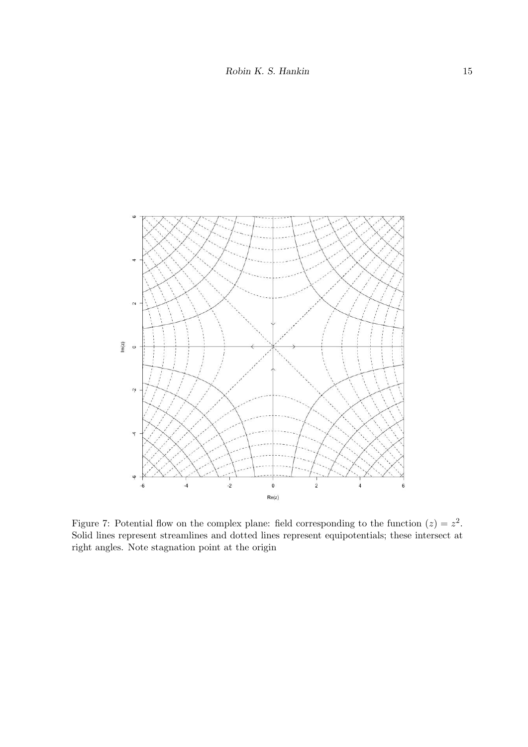

<span id="page-14-0"></span>Figure 7: Potential flow on the complex plane: field corresponding to the function  $(z) = z^2$ . Solid lines represent streamlines and dotted lines represent equipotentials; these intersect at right angles. Note stagnation point at the origin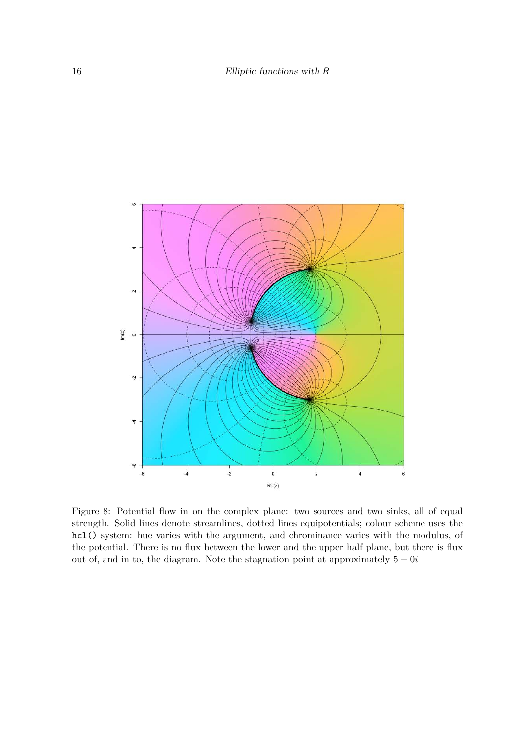

<span id="page-15-0"></span>Figure 8: Potential flow in on the complex plane: two sources and two sinks, all of equal strength. Solid lines denote streamlines, dotted lines equipotentials; colour scheme uses the hcl() system: hue varies with the argument, and chrominance varies with the modulus, of the potential. There is no flux between the lower and the upper half plane, but there is flux out of, and in to, the diagram. Note the stagnation point at approximately  $5 + 0i$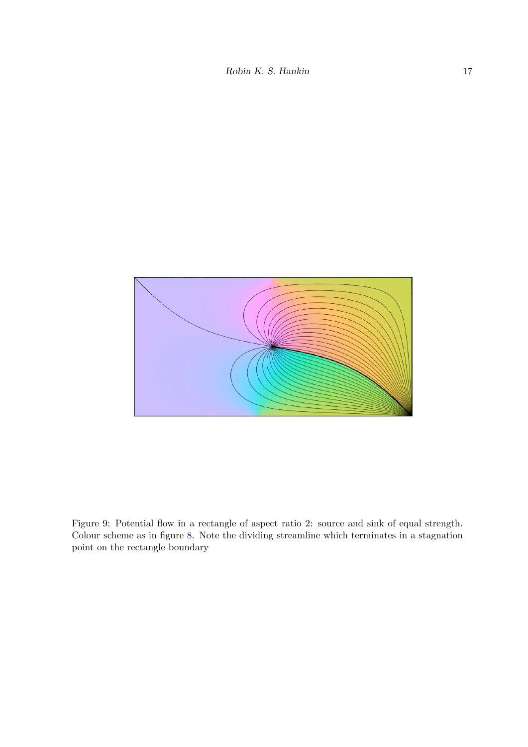

<span id="page-16-0"></span>Figure 9: Potential flow in a rectangle of aspect ratio 2: source and sink of equal strength. Colour scheme as in figure [8.](#page-15-0) Note the dividing streamline which terminates in a stagnation point on the rectangle boundary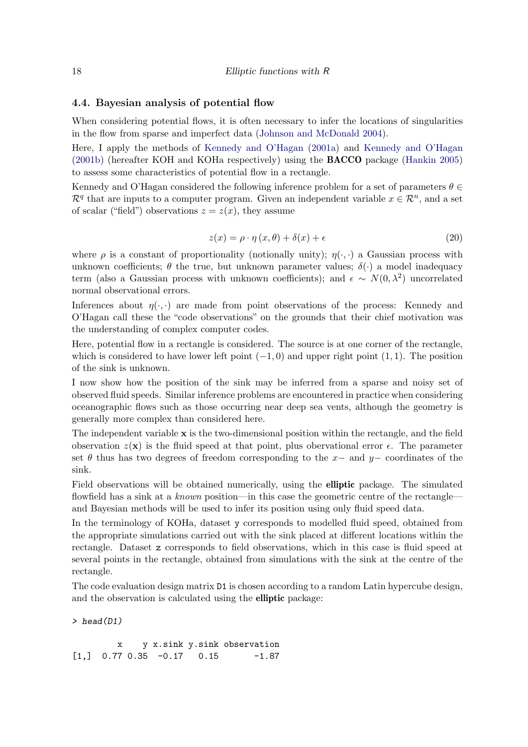### 4.4. Bayesian analysis of potential flow

When considering potential flows, it is often necessary to infer the locations of singularities in the flow from sparse and imperfect data [\(Johnson and McDonald 2004\)](#page-22-5).

Here, I apply the methods of [Kennedy and O'Hagan](#page-22-13) [\(2001a\)](#page-22-13) and [Kennedy and O'Hagan](#page-22-14) [\(2001b\)](#page-22-14) (hereafter KOH and KOHa respectively) using the BACCO package [\(Hankin 2005\)](#page-22-15) to assess some characteristics of potential flow in a rectangle.

Kennedy and O'Hagan considered the following inference problem for a set of parameters  $\theta \in$  $\mathcal{R}^q$  that are inputs to a computer program. Given an independent variable  $x \in \mathcal{R}^n$ , and a set of scalar ("field") observations  $z = z(x)$ , they assume

$$
z(x) = \rho \cdot \eta(x, \theta) + \delta(x) + \epsilon \tag{20}
$$

where  $\rho$  is a constant of proportionality (notionally unity);  $\eta(\cdot, \cdot)$  a Gaussian process with unknown coefficients;  $\theta$  the true, but unknown parameter values;  $\delta(\cdot)$  a model inadequacy term (also a Gaussian process with unknown coefficients); and  $\epsilon \sim N(0, \lambda^2)$  uncorrelated normal observational errors.

Inferences about  $\eta(\cdot, \cdot)$  are made from point observations of the process: Kennedy and O'Hagan call these the "code observations" on the grounds that their chief motivation was the understanding of complex computer codes.

Here, potential flow in a rectangle is considered. The source is at one corner of the rectangle, which is considered to have lower left point  $(-1, 0)$  and upper right point  $(1, 1)$ . The position of the sink is unknown.

I now show how the position of the sink may be inferred from a sparse and noisy set of observed fluid speeds. Similar inference problems are encountered in practice when considering oceanographic flows such as those occurring near deep sea vents, although the geometry is generally more complex than considered here.

The independent variable  $x$  is the two-dimensional position within the rectangle, and the field observation  $z(\mathbf{x})$  is the fluid speed at that point, plus obervational error  $\epsilon$ . The parameter set  $\theta$  thus has two degrees of freedom corresponding to the  $x-$  and  $y-$  coordinates of the sink.

Field observations will be obtained numerically, using the elliptic package. The simulated flowfield has a sink at a *known* position—in this case the geometric centre of the rectangleand Bayesian methods will be used to infer its position using only fluid speed data.

In the terminology of KOHa, dataset y corresponds to modelled fluid speed, obtained from the appropriate simulations carried out with the sink placed at different locations within the rectangle. Dataset z corresponds to field observations, which in this case is fluid speed at several points in the rectangle, obtained from simulations with the sink at the centre of the rectangle.

The code evaluation design matrix D1 is chosen according to a random Latin hypercube design, and the observation is calculated using the elliptic package:

 $>$  head(D1)

x y x.sink y.sink observation  $[1,]$  0.77 0.35 -0.17 0.15 -1.87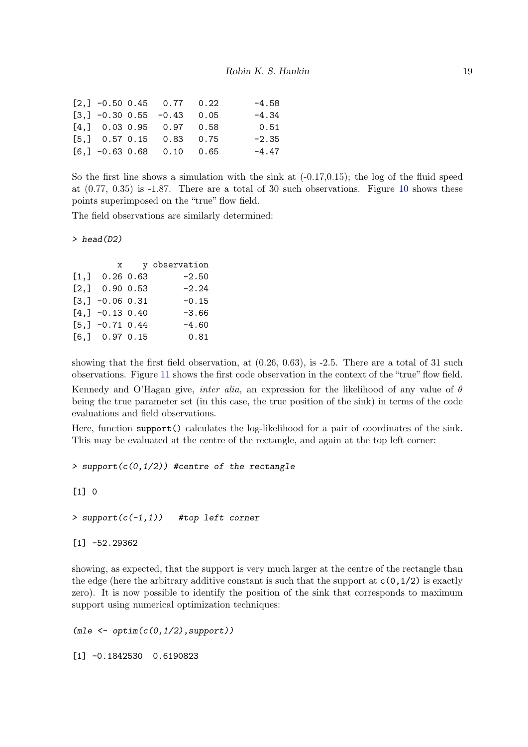|  | $[2,]-0.50,0.45,0.77,0.22$   | $-4.58$ |
|--|------------------------------|---------|
|  | $[3,] -0.30 0.55 -0.43 0.05$ | $-4.34$ |
|  | $[4,]$ 0.03 0.95 0.97 0.58   | 0.51    |
|  | $[5,]$ 0.57 0.15 0.83 0.75   | $-2.35$ |
|  | $[6,] -0.63 0.68 0.10 0.65$  | $-4.47$ |

So the first line shows a simulation with the sink at  $(-0.17,0.15)$ ; the log of the fluid speed at (0.77, 0.35) is -1.87. There are a total of 30 such observations. Figure [10](#page-19-0) shows these points superimposed on the "true" flow field.

The field observations are similarly determined:

 $>$  head(D2)

|                    | $\mathbf x$ | y observation |
|--------------------|-------------|---------------|
| $[1,]$ 0.26 0.63   |             | $-2.50$       |
| $[2,]$ 0.90 0.53   |             | $-2.24$       |
| $[3,] -0.06 0.31$  |             | $-0.15$       |
| $[4,] -0.13, 0.40$ |             | $-3.66$       |
| $[5,] -0.71, 0.44$ |             | $-4.60$       |
| $[6,]$ 0.97 0.15   |             | 0.81          |

showing that the first field observation, at (0.26, 0.63), is -2.5. There are a total of 31 such observations. Figure [11](#page-20-0) shows the first code observation in the context of the "true" flow field. Kennedy and O'Hagan give, *inter alia,* an expression for the likelihood of any value of θ being the true parameter set (in this case, the true position of the sink) in terms of the code evaluations and field observations.

Here, function support() calculates the log-likelihood for a pair of coordinates of the sink. This may be evaluated at the centre of the rectangle, and again at the top left corner:

> support( $c(0,1/2)$ ) #centre of the rectangle

### [1] 0

> support $(c(-1,1))$  #top left corner

[1] -52.29362

showing, as expected, that the support is very much larger at the centre of the rectangle than the edge (here the arbitrary additive constant is such that the support at  $c(0,1/2)$  is exactly zero). It is now possible to identify the position of the sink that corresponds to maximum support using numerical optimization techniques:

 $(mle < -$  optim $(c(0, 1/2),$ support))

[1] -0.1842530 0.6190823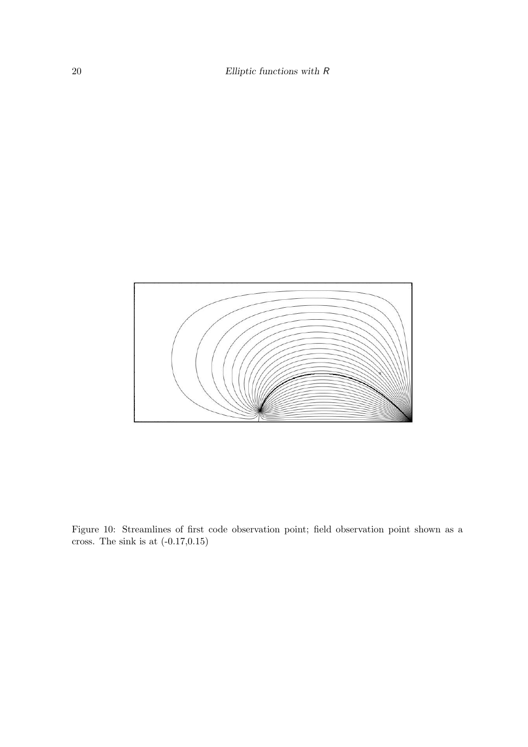

<span id="page-19-0"></span>Figure 10: Streamlines of first code observation point; field observation point shown as a cross. The sink is at  $(-0.17, 0.15)$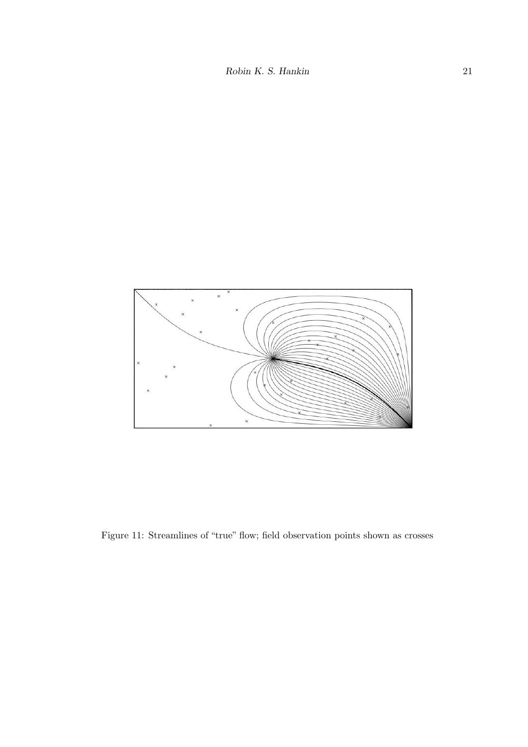

<span id="page-20-0"></span>Figure 11: Streamlines of "true" flow; field observation points shown as crosses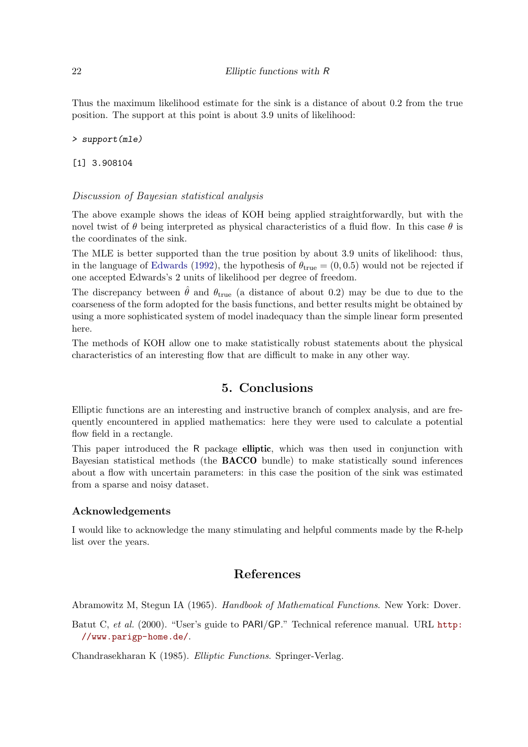Thus the maximum likelihood estimate for the sink is a distance of about 0.2 from the true position. The support at this point is about 3.9 units of likelihood:

> support(mle)

[1] 3.908104

#### Discussion of Bayesian statistical analysis

The above example shows the ideas of KOH being applied straightforwardly, but with the novel twist of  $\theta$  being interpreted as physical characteristics of a fluid flow. In this case  $\theta$  is the coordinates of the sink.

The MLE is better supported than the true position by about 3.9 units of likelihood: thus, in the language of [Edwards](#page-22-16) [\(1992\)](#page-22-16), the hypothesis of  $\theta_{true} = (0, 0.5)$  would not be rejected if one accepted Edwards's 2 units of likelihood per degree of freedom.

The discrepancy between  $\hat{\theta}$  and  $\theta_{true}$  (a distance of about 0.2) may be due to due to the coarseness of the form adopted for the basis functions, and better results might be obtained by using a more sophisticated system of model inadequacy than the simple linear form presented here.

The methods of KOH allow one to make statistically robust statements about the physical characteristics of an interesting flow that are difficult to make in any other way.

## 5. Conclusions

Elliptic functions are an interesting and instructive branch of complex analysis, and are frequently encountered in applied mathematics: here they were used to calculate a potential flow field in a rectangle.

This paper introduced the R package **elliptic**, which was then used in conjunction with Bayesian statistical methods (the BACCO bundle) to make statistically sound inferences about a flow with uncertain parameters: in this case the position of the sink was estimated from a sparse and noisy dataset.

#### Acknowledgements

I would like to acknowledge the many stimulating and helpful comments made by the R-help list over the years.

## References

<span id="page-21-1"></span>Abramowitz M, Stegun IA (1965). *Handbook of Mathematical Functions*. New York: Dover.

<span id="page-21-2"></span>Batut C, *et al.* (2000). "User's guide to PARI/GP." Technical reference manual. URL [http:](http://www.parigp-home.de/) [//www.parigp-home.de/](http://www.parigp-home.de/).

<span id="page-21-0"></span>Chandrasekharan K (1985). *Elliptic Functions*. Springer-Verlag.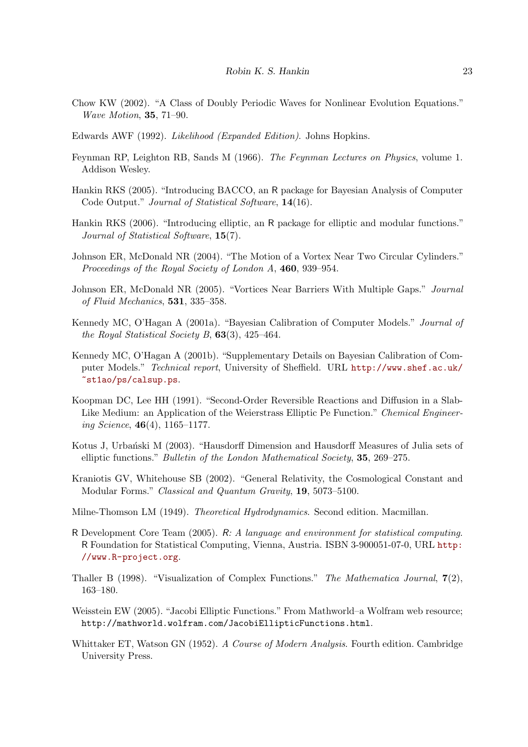- <span id="page-22-4"></span>Chow KW (2002). "A Class of Doubly Periodic Waves for Nonlinear Evolution Equations." *Wave Motion*, 35, 71–90.
- <span id="page-22-16"></span>Edwards AWF (1992). *Likelihood (Expanded Edition)*. Johns Hopkins.
- <span id="page-22-12"></span>Feynman RP, Leighton RB, Sands M (1966). *The Feynman Lectures on Physics*, volume 1. Addison Wesley.
- <span id="page-22-15"></span>Hankin RKS (2005). "Introducing BACCO, an R package for Bayesian Analysis of Computer Code Output." *Journal of Statistical Software*, 14(16).
- <span id="page-22-0"></span>Hankin RKS (2006). "Introducing elliptic, an R package for elliptic and modular functions." *Journal of Statistical Software*, 15(7).
- <span id="page-22-5"></span>Johnson ER, McDonald NR (2004). "The Motion of a Vortex Near Two Circular Cylinders." *Proceedings of the Royal Society of London A*, 460, 939–954.
- <span id="page-22-6"></span>Johnson ER, McDonald NR (2005). "Vortices Near Barriers With Multiple Gaps." *Journal of Fluid Mechanics*, 531, 335–358.
- <span id="page-22-13"></span>Kennedy MC, O'Hagan A (2001a). "Bayesian Calibration of Computer Models." *Journal of the Royal Statistical Society B*, 63(3), 425–464.
- <span id="page-22-14"></span>Kennedy MC, O'Hagan A (2001b). "Supplementary Details on Bayesian Calibration of Computer Models." *Technical report*, University of Sheffield. URL [http://www.shef.ac.uk/](http://www.shef.ac.uk/~st1ao/ps/calsup.ps) [~st1ao/ps/calsup.ps](http://www.shef.ac.uk/~st1ao/ps/calsup.ps).
- <span id="page-22-2"></span>Koopman DC, Lee HH (1991). "Second-Order Reversible Reactions and Diffusion in a Slab-Like Medium: an Application of the Weierstrass Elliptic Pe Function." *Chemical Engineering Science*, 46(4), 1165–1177.
- <span id="page-22-3"></span>Kotus J, Urbański M (2003). "Hausdorff Dimension and Hausdorff Measures of Julia sets of elliptic functions." *Bulletin of the London Mathematical Society*, 35, 269–275.
- <span id="page-22-1"></span>Kraniotis GV, Whitehouse SB (2002). "General Relativity, the Cosmological Constant and Modular Forms." *Classical and Quantum Gravity*, 19, 5073–5100.
- <span id="page-22-11"></span>Milne-Thomson LM (1949). *Theoretical Hydrodynamics*. Second edition. Macmillan.
- <span id="page-22-7"></span>R Development Core Team (2005). R*: A language and environment for statistical computing*. R Foundation for Statistical Computing, Vienna, Austria. ISBN 3-900051-07-0, URL [http:](http://www.R-project.org) [//www.R-project.org](http://www.R-project.org).
- <span id="page-22-10"></span>Thaller B (1998). "Visualization of Complex Functions." *The Mathematica Journal*, 7(2), 163–180.
- <span id="page-22-9"></span>Weisstein EW (2005). "Jacobi Elliptic Functions." From Mathworld–a Wolfram web resource; http://mathworld.wolfram.com/JacobiEllipticFunctions.html.
- <span id="page-22-8"></span>Whittaker ET, Watson GN (1952). *A Course of Modern Analysis*. Fourth edition. Cambridge University Press.